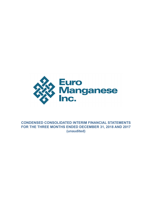

# **CONDENSED CONSOLIDATED INTERIM FINANCIAL STATEMENTS FOR THE THREE MONTHS ENDED DECEMBER 31, 2018 AND 2017 (unaudited)**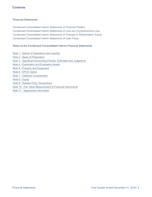# **Contents**

#### **Financial Statements**

Condensed Consolidated Interim Statements of Financial Position Condensed Consolidated Interim Statements of Loss and Comprehensive Loss Condensed Consolidated Interim Statements of Changes in Shareholders' Equity Condensed Consolidated Interim Statements of Cash Flows

#### **Notes to the Condensed Consolidated Interim Financial Statements**

[Note 1 - Nature of Operations and Liquidity](#page-6-0)

- [Note 2 Basis of Preparation](#page-6-0)
- [Note 3 Significant Accounting Policies, Estimates and Judgments](#page-7-0)

[Note 4 - Exploration and Evaluation Assets](#page-9-0)

[Note 5 - Property and Equipment](#page-10-0)

[Note 6 - EPCS Option](#page-11-0)

[Note 7 - Deferred Consideration](#page-12-0)

[Note 8 - Equity](#page-12-0)

[Note 9 - Related Party Transactions](#page-15-0)

[Note 10 - Fair Value Measurement of Financial Instruments](#page-16-0)

[Note 11 - Segmented Information](#page-16-0)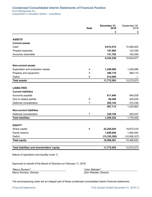|                                            | <b>Note</b>             | December 31,<br>2018 | September 30,<br>2018 |
|--------------------------------------------|-------------------------|----------------------|-----------------------|
|                                            |                         | \$                   | \$                    |
| <b>ASSETS</b>                              |                         |                      |                       |
| <b>Current assets</b>                      |                         |                      |                       |
| Cash                                       |                         | 9,012,510            | 10,368,002            |
| Prepaid expenses                           |                         | 197,964              | 124,326               |
| Accounts receivable                        |                         | 131,765              | 162,549               |
|                                            |                         | 9,342,239            | 10,654,877            |
|                                            |                         |                      |                       |
| <b>Non-current assets</b>                  |                         |                      |                       |
| Exploration and evaluation assets          | $\overline{\mathbf{4}}$ | 1,249,086            | 1,249,086             |
| Property and equipment                     | 5                       | 366,178              | 369,110               |
| Option                                     | 6                       | 815,000              |                       |
| <b>Total assets</b>                        |                         | 11,772,503           | 12,273,073            |
|                                            |                         |                      |                       |
| <b>LIABILITIES</b>                         |                         |                      |                       |
| <b>Current liabilities</b>                 |                         |                      |                       |
| Accounts payable                           |                         | 611,640              | 940,028               |
| Due to related parties                     | $\boldsymbol{9}$        | 60,369               | 320,639               |
| Deferred consideration                     | $\overline{7}$          | 285,104              | 275,236               |
|                                            |                         | 957,113              | 1,535,903             |
| <b>Non-current liabilities</b>             |                         |                      |                       |
| Deferred consideration                     | $\overline{7}$          | 249,109              | 240,537               |
| <b>Total liabilities</b>                   |                         | 1,206,222            | 1,776,440             |
|                                            |                         |                      |                       |
| <b>EQUITY</b>                              |                         |                      |                       |
| Share capital                              | 8                       | 22,255,025           | 19,972,416            |
| Equity reserve                             |                         | 1,646,648            | 1,482,544             |
| <b>Deficit</b>                             |                         | (13, 335, 392)       | (10, 958, 327)        |
| <b>Total equity</b>                        |                         | 10,566,281           | 10,496,633            |
|                                            |                         |                      |                       |
| Total liabilities and shareholders' equity |                         | 11,772,503           | 12,273,073            |

Nature of operations and liquidity (note 1)

Approved on behalf of the Board of Directors on February 11, 2019

*"Marco Romero" "John Webster"* Marco Romero, Director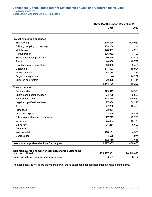|                                                        | Three Months Ended December 31, |            |  |
|--------------------------------------------------------|---------------------------------|------------|--|
|                                                        | 2018                            | 2017       |  |
|                                                        | \$                              | \$         |  |
| <b>Project evaluation expenses</b>                     |                                 |            |  |
| Engineering                                            | 626,424                         | 620,987    |  |
| Drilling, sampling and surveys                         | 208,250                         |            |  |
| Metallurgical                                          | 148,957                         | 34,258     |  |
| Remuneration                                           | 226,982                         | 147,702    |  |
| Share-based compensation                               | 40,425                          | 17,405     |  |
| Travel                                                 | 40,086                          | 46,729     |  |
| Legal and professional fees                            | 60,985                          | 35,465     |  |
| Geological                                             | 117,503                         | 65,994     |  |
| Market studies                                         | 54,788                          | 91,739     |  |
| Project management                                     |                                 | 44,227     |  |
| Supplies and rentals                                   | 20,306                          | 14,714     |  |
|                                                        | 1,544,706                       | 1,119,220  |  |
| <b>Other expenses</b>                                  |                                 |            |  |
| Remuneration                                           | 329,579                         | 174,991    |  |
| Share-based compensation                               | 74,789                          | 50,620     |  |
| <b>Total remuneration</b>                              | 404,368                         | 225,611    |  |
| Legal and professional fees                            | 77,004                          | 34,296     |  |
| Travel                                                 | 47,290                          | 12,469     |  |
| Filing fees                                            | 38,037                          |            |  |
| Accretion expense                                      | 18,440                          | 25,898     |  |
| Office, general and administrative                     | 27,779                          | 22,273     |  |
| Insurance                                              | 25,454                          | 13,773     |  |
| Office rent                                            | 21,281                          | 5,500      |  |
| Conferences                                            |                                 | 2,257      |  |
| Investor relations                                     | 168,151                         | 4,565      |  |
| Depreciation                                           | 4,555                           | 974        |  |
|                                                        | 832,359                         | 347,616    |  |
| Loss and comprehensive loss for the year               | 2,377,065                       | 1,466,836  |  |
| Weighted average number of common shares outstanding - |                                 |            |  |
| basic and diluted                                      | 170,487,861                     | 90,549,020 |  |
| Basic and diluted loss per common share                | \$0.01                          | \$0.02     |  |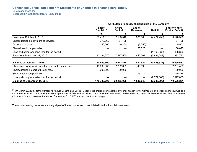# **Condensed Consolidated Interim Statements of Changes in Shareholders' Equity**

Euro Manganese Inc.

(expressed in Canadian dollars - unaudited)

|                                                      | Attributable to equity shareholders of the Company |                                            |           |                |                                                 |
|------------------------------------------------------|----------------------------------------------------|--------------------------------------------|-----------|----------------|-------------------------------------------------|
|                                                      | <b>Share</b><br>Capital <sup>(1)</sup>             | <b>Share</b><br>Capital<br><b>Reserves</b> |           | <b>Deficit</b> | <b>Shareholders'</b><br><b>Equity (Deficit)</b> |
|                                                      | #                                                  |                                            |           |                |                                                 |
| Balance at October 1, 2017                           | 90,411,610                                         | 7,183,542                                  | 381,086   | (4,424,252)    | 3,140,376                                       |
| Shares issued as payment of services                 | 770,060                                            | 84,708                                     |           |                | 84,708                                          |
| Options exercised                                    | 50,000                                             | 9,250                                      | (3,750)   |                | 5,500                                           |
| Share-based compensation                             |                                                    |                                            | 68,025    |                | 68,025                                          |
| Loss and comprehensive loss for the period           |                                                    |                                            |           | (1,466,836)    | (1,466,836)                                     |
| Balance at December 31, 2017                         | 91,231,670                                         | 7,277,500                                  | 445,361   | (5,891,088)    | 1,831,773                                       |
| <b>Balance at October 1, 2018</b>                    | 160,509,600                                        | 19,972,416                                 | 1,482,544 | (10, 958, 327) | 10,496,633                                      |
| Shares and warrants issued for cash, net of expenses | 10,000,000                                         | 2,232,609                                  | 48,890    |                | 2,281,499                                       |
| Shares issued as part of broker fees                 | 200,000                                            | 50,000                                     |           |                | 50,000                                          |
| Share-based compensation                             |                                                    |                                            | 115,214   |                | 115,214                                         |
| Loss and comprehensive loss for the period           |                                                    |                                            |           | (2,377,065)    | (2,377,065)                                     |
| <b>Balance at December 31, 2018</b>                  | 170,709,600                                        | 22,255,025                                 | 1,646,648 | (13, 335, 392) | 10,566,281                                      |

 $(1)$  On March 20, 2018, at the Company's Annual General and Special Meeting, the shareholders approved the modification to the Company's authorized share structure and the number of issued common shares without par value. All fully paid and issued common shares were subdivided on a basis of one old for five new shares. The comparative information for the three months ended December 31, 2017, was restated for this change.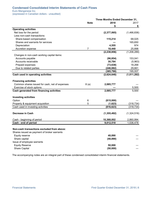## **Condensed Consolidated Interim Statements of Cash Flows**

Euro Manganese Inc.

(expressed in Canadian dollars - unaudited)

|                                                |                | Three Months Ended December 31, |             |
|------------------------------------------------|----------------|---------------------------------|-------------|
|                                                | <b>Note</b>    | 2018                            | 2017        |
|                                                |                | S                               | \$          |
| <b>Operating activities</b>                    |                |                                 |             |
| Net loss for the period                        |                | (2,377,065)                     | (1,466,836) |
| Less non-cash transactions:                    |                |                                 |             |
| Share-based compensation                       |                | 115,214                         | 68,025      |
| Shares and warrants for services               |                |                                 | 165,650     |
| Depreciation                                   |                | 4,555                           | 974         |
| Accretion expense                              | $\overline{7}$ | 18,440                          | 25,898      |
|                                                |                | (2, 238, 856)                   | (1,206,289) |
| Changes in non-cash working capital items:     |                |                                 |             |
| Accounts payable                               |                | (96, 854)                       | 153,041     |
| Accounts receivable                            |                | 30,784                          | (5,963)     |
| Prepaid expenses                               |                | (73, 638)                       | 18,268      |
| Due to related parties                         |                | (246,082)                       | 29,661      |
|                                                |                | (385,790)                       | 195,007     |
| <b>Cash used in operating activities</b>       |                | (2,624,646)                     | (1,011,282) |
| <b>Financing activities</b>                    |                |                                 |             |
| Common shares issued for cash, net of expenses | 8(a)           | 2,085,777                       |             |
| Exercise of stock options                      |                |                                 | 5,500       |
| Cash generated from financing activities       |                | 2,085,777                       | 5,500       |
| <b>Investing activities</b>                    |                |                                 |             |
| Option                                         | 6              | (815,000)                       |             |
| Property & equipment acquisition               | 5              | (1,623)                         | (318, 734)  |
| Cash used in investing activities              |                | (816, 623)                      | (318, 734)  |
|                                                |                |                                 |             |
| <b>Decrease in Cash</b>                        |                | (1, 355, 492)                   | (1,324,516) |
| Cash - beginning of period                     |                | 10,368,002                      | 2,860,994   |
| Cash - end of period                           |                | 9,012,510                       | 1,536,478   |
|                                                |                |                                 |             |
| Non-cash transactions excluded from above:     |                |                                 |             |
| Shares issued as payment of broker warrants    |                |                                 |             |
| Equity reserve                                 |                | 48,890                          |             |
| Share capital                                  |                | (48, 890)                       |             |
| Issue of employee warrants                     |                |                                 |             |
| <b>Equity Reserve</b>                          |                | 50,000                          |             |
| Share Capital                                  |                | (50,000)                        |             |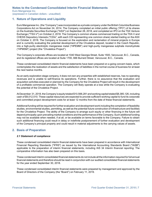<span id="page-6-0"></span>Euro Manganese Inc. (expressed in Canadian dollars - unaudited)

### **1. Nature of Operations and Liquidity**

Euro Manganese Inc. (the "Company") was incorporated as a private company under the British Columbia Business Corporations Act on November 24, 2014. The Company completed an initial public offering ("IPO") of its shares on the Australia Securities Exchange ("ASX") on September 28, 2018, and completed an IPO on the TSX Venture Exchange ("TSX-V") on October 2, 2018. The Company's common shares commenced trading on the TSX-V and CHESS Depository Interests ("CDIs", with each CDI representing one common share) started trading on the ASX on October 2, 2018. The Company is focused on the exploration and reclamation of mineral projects in Europe and is currently evaluating the potential development of the Chvaletice deposit, located in the Czech Republic, into a high-purity electrolytic manganese metal ("HPEMM") and high-purity manganese sulphate monohydrate ("HPMSM") project (the "Chvaletice Project").

The Company's corporate offices are located at 1040 West Georgia Street, Suite 1500, Vancouver, B.C., Canada, and its registered offices are located at Suite 1700, 666 Burrard Street, Vancouver, B.C., Canada.

These condensed consolidated interim financial statements have been prepared on a going concern basis, which contemplates the realization of assets and the satisfaction of liabilities in the normal course of business for at least the next twelve months.

As an early exploration stage company, it does not own any properties with established reserves, has no operating revenues and is unable to self-finance its operations. Further, there is no assurance that the evaluation and acquisition activities executed or planned by the Company for the Chvaletice Project will result in the development of a profitable commercial operation. The Company will likely operate at a loss while the Company is evaluating the potential of the Chvaletice Project.

At December 31, 2018, the Company's equity totaled \$10,566,281 and working capital totaled \$8,385,126, including cash of \$9,012,510. These capital resources are expected to provide sufficient working capital to fund its corporate and committed project development costs for at least 12 months from the date of these financial statements.

Additional funding will be required for further evaluation and development work including the completion of feasibility studies, environmental studies, permitting, as well as the potential future construction of infrastructure and facilities for the Chvaletice Project. The ability of the Company to arrange such equity or other financing in the future will depend principally upon prevailing market conditions and the performance of the Company. Such additional funding may not be available when needed, if at all, or be available on terms favorable to the Company. Failure to obtain such additional financing could result in delay or indefinite postponement of further evaluation and development of the Company's principal property and could result in material adjustments to the carrying values of assets.

# **2. Basis of Preparation**

#### *2.1 Statement of compliance*

These condensed consolidated interim financial statements have been prepared in accordance with International Financial Reporting Standards ("IFRS") as issued by the International Accounting Standards Board ("IASB") applicable to the preparation of interim financial statements, including IAS 34 *Interim financial reporting*. The comparative information has also been prepared on this basis.

These condensed interim consolidated financial statements do not include all the information required for full annual financial statements and therefore should be read in conjunction with our audited consolidated financial statements for the year ended September 30, 2018.

These condensed consolidated interim financial statements were prepared by management and approved by the Board of Directors of the Company (the "Board") on February 11, 2019.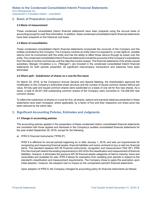<span id="page-7-0"></span>Euro Manganese Inc. (expressed in Canadian dollars - unaudited)

# **2. Basis of Preparation (continued)**

#### *2.2 Basis of measurement*

These condensed consolidated interim financial statements have been prepared using the accrual basis of accounting except for cash flow information. In addition, these condensed consolidated interim financial statements have been prepared on the historical cost basis.

#### *2.3 Basis of consolidation*

These condensed consolidated interim financial statements incorporate the accounts of the Company and the entities controlled by the Company. The Company controls an entity when it is exposed to, or has rights to, variable returns from its involvement with the entity and has the ability to affect those returns through its power over the entity. The condensed consolidated interim financial statements include the accounts of the Company's subsidiaries from the date of control commences until the date that control ceases. The financial statements of its wholly-owned subsidiary, Mangan Chvaletice s.r.o. ("Mangan"), are included in the condensed consolidated interim financial statements for both periods presented. All significant intercompany transactions and balances have been eliminated.

#### *2.4 Share split - Subdivision of shares on a one-for-five basis*

On March 20, 2018, at the Company's Annual General and Special Meeting, the shareholders approved the modification to the Company's authorized share structure and the number of issued common shares without par value. All fully paid and issued common shares were subdivided on a basis of one old for five new shares. As a result, a total of 26,441,308 outstanding common shares of the Company were converted to 132,206,540 new common shares.

To reflect the subdivision of shares on a one-for-five, all shares, options and warrants balances presented in these statements have been increased, where applicable, by a factor of five and their respective unit share price has been reduced by the same ratio.

### **3. Significant Accounting Policies, Estimates and Judgments**

#### *3.1 Change in accounting policies*

The accounting policies applied in the preparation of these condensed interim consolidated financial statements are consistent with those applied and disclosed in the Company's audited consolidated financial statements for the year ended September 30, 2018, except for the following:

a) IFRS 9 *Financial Instruments* ("IFRS 9")

IFRS 9 is effective for annual periods beginning on or after January 1, 2018, and sets out requirements for recognizing and measuring financial assets, financial liabilities and some contracts to buy or sell non-financial items. This standard replaces IAS 39 *Financial instruments: recognition and measurement* ("IAS 39"). IFRS 9 for the most part retains the existing requirements in IAS 39 for the classification and measurement of financial liabilities. However, it eliminates the previous IAS 39 financial assets categories of held to maturity, loans and receivables and available for sale. IFRS 9 allows for exemption from restating prior periods in respect to the standard's classification and measurement requirements. The Company chose to apply this exemption upon initial adoption, however, the adoption had no impact on the comparative period's financial statements.

Upon adoption of IFRS 9, the Company changed its accounting policy for financial instruments as follows: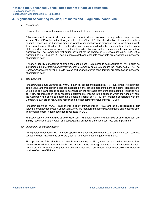Euro Manganese Inc. (expressed in Canadian dollars - unaudited)

# **3. Significant Accounting Policies, Estimates and Judgments (continued)**

*i) Classification*

Classification of financial instruments is determined at initial recognition.

A financial asset is classified as measured at: amortized cost, fair value through other comprehensive income ("FVOCI") or fair value through profit or loss ("FVTPL"). The classification of financial assets is generally based on the business model in which a financial asset is managed and its contractual cash flow characteristics. The derivatives embedded in contracts where the host is a financial asset in the scope of the standard are never separated. Instead, the hybrid financial instrument as a whole is assessed for classification. The Company's first option payment for the shares of E.P. Chvaletice s.r.o. ("EPCS") is classified as FVTPL (note 6). The Company's cash and accounts receivable are classified as measured at amortized cost.

A financial liability is measured at amortized cost, unless it is required to be measured at FVTPL such as instruments held for trading or derivatives, or the Company opted to measure the liability as FVTPL. The Company's accounts payable, due to related parties and deferred consideration are classified as measured at amortized cost.

*ii) Measurement*

*Financial assets and liabilities at FVTPL -* Financial assets and liabilities at FVTPL are initially recognized at fair value and transaction costs are expensed in the consolidated statement of income. Realized and unrealized gains and losses arising from changes in the fair value of the financial assets or liabilities held at FVTPL are included in the consolidated statement of income in the period in which they arise. Where the Company has opted to designate a financial liability at FVTPL, any changes associated with the Company's own credit risk will be recognized in other comprehensive income ("OCI").

*Financial assets at FVOCI* - Investments in equity instruments at FVOCI are initially recognized at fair value plus transaction costs. Subsequently, they are measured at fair value, with gains and losses arising from changes from initial recognition recognized in OCI.

*Financial assets and liabilities at amortized cost -* Financial assets and liabilities at amortized cost are initially recognized at fair value, and subsequently carried at amortized cost less any impairment.

#### *iii) Impairment of financial assets*

An expected credit loss ("ECL") model applies to financial assets measured at amortized cost, contract assets and debt investments at FVOCI, but not to investments in equity instruments.

The application of the simplified approach to measuring the ECL, which uses a lifetime expected loss allowance for all trade receivables, had no impact on the carrying amounts of the Company's financial assets on the transition date given the accounts receivable are mostly taxes receivable and therefore outside of scope of IFRS 9.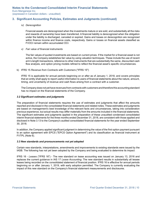<span id="page-9-0"></span>Euro Manganese Inc. (expressed in Canadian dollars - unaudited)

# **3. Significant Accounting Policies, Estimates and Judgments (continued)**

#### *iv) Derecognition*

Financial assets are derecognized when the investments mature or are sold, and substantially all the risks and rewards of ownership have been transferred. A financial liability is derecognized when the obligation under the liability is discharged, canceled or expired. Gains and losses on derecognition are recognized within finance income and finance costs, respectively. Gains or losses on financial assets classified as FVOCI remain within accumulated OCI.

*v) Fair value of financial instruments*

The fair values of quoted investments are based on current prices. If the market for a financial asset is not active, the Company establishes fair value by using valuation techniques. These include the use of recent arm's length transactions, reference to other instruments that are substantially the same, discounted cash flow analysis, and option pricing models refined to reflect the financial asset's specific circumstances.

b) IFRS 15 *Revenue from Contracts with Customers* ("IFRS 15")

IFRS 15 is applicable for annual periods beginning on or after as of January 1, 2018, and covers principles that an entity shall apply to report useful information to users of financial statements about the nature, amount, timing, and uncertainty of revenue and cash flows arising from a contract with a customer.

The Company does not yet have revenues from contracts with customers and therefore this accounting standard has no impact on the financial statements of the Company.

#### *3.2 Significant estimates and judgments*

The preparation of financial statements requires the use of estimates and judgments that affect the amounts reported and disclosed in the consolidated financial statements and related notes. These estimates and judgments are based on management's best knowledge of the relevant facts and circumstances, taking into consideration previous experience, but actual results may differ materially from the amounts included in the financial statements. The significant estimates and judgments applied in the preparation of these unaudited condensed consolidated interim financial statements for the three months ended December 31, 2018, are consistent with those applied and disclosed in Note 3.13 to the Company's audited consolidated financial statements for the year ended September 30, 2018.

In addition, the Company applied significant judgment in determining the value of the first option payment pursuant to an option agreement with EPCS ("EPCS Option Agreement") and its classification as financial instrument at FVTPL (Note 6).

#### *3.3 New standards and pronouncements not yet adopted*

Certain new standards, interpretations, amendments and improvements to existing standards were issued by the IASB. The following has not yet been adopted by the Company and being evaluated to determine its impact:

IFRS 16 - *Leases* ("IFRS 16") - The new standard on lease accounting was issued on January 13, 2016 and replaces the current guidance in IAS 17 *Lease Accounting*. The new standard results in substantially all lessee leases being recorded on the consolidated statement of financial position. IFRS 16 is effective for annual periods beginning on or after January 1, 2019, with early adoption permitted. The Company is currently evaluating the impact of this new standard on the Company's financial statement measurements and disclosures.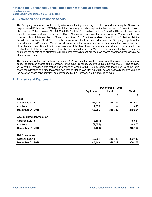<span id="page-10-0"></span>Euro Manganese Inc. (expressed in Canadian dollars - unaudited)

## **4. Exploration and Evaluation Assets**

The Company was formed with the objective of evaluating, acquiring, developing and operating the Chvaletice Project as an HPEMM and HPMSM project. The Company holds two exploration licenses for the Chvaletice Project (the "Licenses"), both expiring May 31, 2023. On April 17, 2018, with effect from April 28, 2018, the Company was issued a Preliminary Mining Permit by the Czech Ministry of Environment, referred to by the Ministry as the prior consent of the establishment of the Mining Lease District (the "Preliminary Mining Permit"). The Preliminary Mining Permit, valid until April 30, 2023, covers the areas included in Licenses and secures the Company's rights for the entire deposit. The Preliminary Mining Permit forms one of the prerequisites for the application for the establishment of the Mining Lease District and represents one of the key steps towards final permitting for the project. The establishment of the Mining Lease District, the application for the final Mining Permit, and applications for permits relating to the construction of infrastructure required for the project, are required prior to operation at the Chvaletice Manganese Project.

The acquisition of Mangan included granting a 1.2% net smelter royalty interest and the issue, over a four-year period, of common shares of the Company in five equal tranches, each valued at \$300,000 (note 7). The carrying value of the Company's exploration and evaluation assets of \$1,249,086 represents the fair value of the initial share consideration following the acquisition date of Mangan on May 13, 2016, as well as the discounted value of the deferred share consideration, as determined by the Company on the acquisition date.

### **5. Property and Equipment**

|                                 | <b>December 31, 2018</b> |         |              |
|---------------------------------|--------------------------|---------|--------------|
|                                 | <b>Equipment</b>         | Land    | <b>Total</b> |
|                                 | \$                       | \$      | \$           |
| Cost                            |                          |         |              |
| October 1, 2018                 | 58,932                   | 318,729 | 377,661      |
| Additions                       | 1,623                    |         | 1,623        |
| <b>December 31, 2018</b>        | 60,555                   | 318,729 | 379,284      |
|                                 |                          |         |              |
| <b>Accumulated depreciation</b> |                          |         |              |
| October 1, 2018                 | (8, 551)                 |         | (8, 551)     |
| Additions                       | (4, 555)                 |         | (4, 555)     |
| <b>December 31, 2018</b>        | (13, 106)                |         | (13, 106)    |
|                                 |                          |         |              |
| <b>Net Book Value</b>           |                          |         |              |
| October 1, 2018                 | 50,381                   | 318,729 | 369,110      |
| <b>December 31, 2018</b>        | 47,449                   | 318,729 | 366,178      |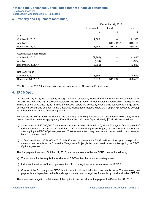<span id="page-11-0"></span>Euro Manganese Inc.

(expressed in Canadian dollars - unaudited)

### **5. Property and Equipment (continued)**

|                          | December 31, 2017 |                |         |
|--------------------------|-------------------|----------------|---------|
|                          | Equipment         | Land           | Total   |
|                          | \$                | \$             | \$      |
| Cost                     |                   |                |         |
| October 1, 2017          | 11,588            |                | 11,588  |
| Additions                |                   | (a)<br>318,734 | 318,734 |
| December 31, 2017        | 11,588            | 318,734        | 330,322 |
|                          |                   |                |         |
| Accumulated depreciation |                   |                |         |
| October 1, 2017          | (2,895)           |                | (2,895) |
| Additions                | (974)             |                | (974)   |
| December 31, 2017        | (3,869)           |                | (3,869) |
|                          |                   |                |         |
| Net Book Value           |                   |                |         |
| October 1, 2017          | 8,693             |                | 8,693   |
| December 31, 2017        | 7,719             | 318,734        | 326,453 |

 $<sup>(a)</sup>$  In November 2017, the Company acquired land near the Chvaletice Project area.</sup>

### **6. EPCS Option**

On October 17, 2018, the Company, through its Czech subsidiary Mangan, made the first option payment of 14 million Czech Korunas (\$815,000) as stipulated in the EPCS Option Agreement for the purchase of a 100% interest in EPCS dated on August 13, 2018. EPCS is a Czech operating company whose principal asset is a large parcel of industrial zoned land adjacent to the Chvaletice Manganese Project, where the Company proposes to develop its high-purity manganese processing facility.

Pursuant to the EPCS Option Agreement, the Company has the right to acquire a 100% interest in EPCS by making two additional instalments aggregating 126 million Czech Korunas (approximately \$7.32 million) as follows:

- a) an instalment of 42,000,000 Czech Koruna (approximately \$2.44 million), within 60 days of final approval of the environmental impact assessment for the Chvaletice Manganese Project, but no later than three years after signing the EPCS Option Agreement. The three-year term may be extended under certain circumstances by up to one year; and
- b) a final instalment of 84,000,000 Czech Koruna (approximately \$4.88 million), due upon receipt of all development permits for the Chvaletice Manganese Project, but no later than five years after signing the EPCS Option Agreement.

The first payment made on October 17, 2018, is a derivative classified as FVTPL due to the following:

- a) The option is for the acquisition of shares of EPCS rather than a non-monetary asset;
- b) It does not meet any of the scope exceptions from recognition as a derivative under IFRS 9;
- c) Control of the Company over EPCS is not present until the third option payment is made. The remaining two payments are dependent on the Board's approval and are not legally enforceable by the shareholder of EPCS.

There was no change in the fair value of the option in the period from the payment to December 31, 2018.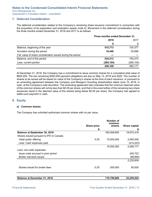<span id="page-12-0"></span>Euro Manganese Inc. (expressed in Canadian dollars - unaudited)

### **7. Deferred Consideration**

The deferred consideration relates to the Company's remaining share issuance commitment in connection with the acquisition of its exploration and evaluation assets (note 4). Movement in the deferred consideration during the three months ended December 31, 2018 and 2017 is as follows:

|                                                            | Three months ended December 31, |         |  |
|------------------------------------------------------------|---------------------------------|---------|--|
|                                                            | 2018                            | 2017    |  |
|                                                            | \$                              | \$      |  |
| Balance, beginning of the year                             | 515,773                         | 724,377 |  |
| Accretion during the period                                | 18,440                          | 25,898  |  |
| Fair value of share consideration issued during the period |                                 |         |  |
| Balance, end of the period                                 | 534,213                         | 750,275 |  |
| Less: current portion                                      | (285, 104)                      |         |  |
|                                                            | 249,109                         | 465,171 |  |

At December 31, 2018, the Company has a commitment to issue common shares for a cumulative total value of \$600,000. The two remaining \$300,000 payment obligations are due on May 13, 2019 and 2020. The number of shares to be issued will be based on value of the Company's shares at the time of each issuance, or pursuant to an amending agreement between the Company and Mangan's founding shareholders dated June 15, 2018, in cash, at the Company's sole discretion. The amending agreement also indicates that the minimum deemed value of the common shares will not be less than \$0.05 per share, and that in the event either of the remaining two share issuances result in the deemed value of the shares being below \$0.05 per share, the Company has agreed to settle such payment in cash.

### **8. Equity**

#### **a) Common shares**

The Company has unlimited authorized common shares with no par value.

|                                         |                    | Number of<br>common |               |
|-----------------------------------------|--------------------|---------------------|---------------|
|                                         | <b>Share price</b> | shares              | Share capital |
|                                         | \$                 |                     | \$            |
| <b>Balance at September 30, 2018</b>    |                    | 160,509,600         | 19,972,416    |
| Shares issued pursuant to IPO in Canada |                    |                     |               |
| Initial public offering                 | 0.25               | 10,000,000          | 2,500,000     |
| Less: Cash expenses paid                |                    |                     | (414, 223)    |
|                                         |                    | 10,000,000          | 2,085,777     |
| Less: non-cash expenses:                |                    |                     |               |
| Issue costs accrued in prior period     |                    |                     | 245,722       |
| Broker warrants issued                  |                    |                     | (98, 890)     |
|                                         |                    |                     | 2,232,609     |
| Shares issued for broker fees           | 0.25               | 200,000             | 50,000        |
| <b>Balance at December 31, 2018</b>     |                    | 170,709,600         | 22,255,025    |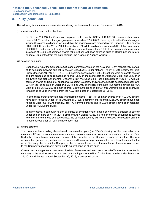Euro Manganese Inc. (expressed in Canadian dollars - unaudited)

## **8. Equity (continued)**

The following is a summary of shares issued during the three months ended December 31, 2018:

i) Shares issued for cash and broker fees:

On October 2, 2018, the Company completed its IPO on the TSX-V of 10,000,000 common shares at a price of \$0.25 per share, for aggregate gross proceeds of \$2,500,000. Fees payable to the Canadian agent included the corporate finance fee, plus 6% of the aggregate gross proceeds of the Canadian IPO in excess of \$1,500,000, payable 1% or \$10,000 in cash and 5% in fully paid common shares (200,000 shares valued at \$50,000), and a warrant entitling the Canadian agent to purchase 10% of the common shares issued in excess of 6,000,000 common shares (400,000 shares) at an exercise price of \$0.375 per share for a period of 36 months from the date of issue (the "Canadian Agent's Warrant").

ii) Escrowed securities

Upon the listing of the Company's CDIs and common shares on the ASX and TSXV, respectively, certain of its securities became subject to escrow. Specifically, under National Policy 46-201 Escrow for Initial Public Offerings ("NP 46-201"), 29,045,361 common shares and 5,600,000 options were subject to escrow and are scheduled to be released as follows: 25% on the listing date of October 2, 2018; and 25% after six, twelve and eighteen months. Under the TSX-V's Seed Sale Resale Restrictions ("SSRR"), 778,575 common shares and 225,000 options were subject to escrow and are scheduled to be released as follows: 20% on the listing date on October 2, 2018; and 20% after each of the next four months. Under the ASX Listing Rules, 25,522,290 common shares, 9,550,000 options and 8,684,015 warrants are to be escrowed for a period of up to two years from the ASX listing date of September 28, 2018.

As of the date of these consolidated financial statements, 7,261,341 common shares and 1,400,000 options have been released under NP 46-201, and all 778,575 common shares and all 225,000 options have been released under SSRR. Additionally, 858,777 common shares and 150,000 options have been released under the ASX Listing Rules.

In many cases, a particular holder, or particular common share, option or warrant, is subject to escrow under one or more of NP 46-201, SSRR and ASX Listing Rules. If a holder of these securities is subject to one or more of these escrow regimes, the particular security will not be released from escrow until the release schedule for all regimes have been met.

#### **b) Share options**

The Company has a rolling share-based compensation plan (the "Plan") allowing for the reservation of a maximum 10% of the common shares issued and outstanding at any given time for issuance under the Plan. Under the Plan, all stock options are granted at the discretion of the Company's board of directors. The term of any option granted may not exceed ten years and the exercise price may not be less than the market value of the Company shares or, if the Company's shares are not traded on a stock exchange, the share value equal to the Company's most recent arm's length equity financing share price.

Current outstanding options have an expiry date of ten years and vest over a period of 24 months. A continuity summary of the stock options granted and outstanding under the Plan for the three months ended December 31, 2018 and the year ended September 30, 2018, is presented below: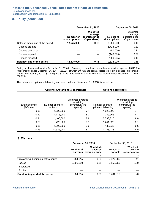Euro Manganese Inc. (expressed in Canadian dollars - unaudited)

# **8. Equity (continued)**

|                                  | <b>December 31, 2018</b>   |                                                         |                            | September 30, 2018                                      |
|----------------------------------|----------------------------|---------------------------------------------------------|----------------------------|---------------------------------------------------------|
|                                  | Number of<br>share options | Weighted<br>average<br>exercise price<br>(\$/per share) | Number of<br>share options | Weighted<br>average<br>exercise price<br>(\$/per share) |
| Balance, beginning of the period | 12,525,000                 | 0.15                                                    | 7,250,000                  | 0.10                                                    |
| Options granted                  |                            |                                                         | 5,725,000                  | 0.20                                                    |
| Options exercised                |                            |                                                         | (50,000)                   | 0.11                                                    |
| Options expired                  |                            |                                                         | (149, 995)                 | 0.09                                                    |
| Options forfeited                |                            |                                                         | (250,005)                  | 0.10                                                    |
| Balance, end of the period       | 12,525,000                 | 0.15                                                    | 12,525,000                 | 0.15                                                    |

During the three months ended December 31, 2018 the Company recorded share-based compensation expense of \$115,214 (three months ended December 31, 2017 - \$68,025) of which \$40,425 has been allocated to project expenses (three months ended December 31, 2017 - \$17,405) and \$74,789 to administrative expenses (three months ended December 31, 2017 - \$50,620).

The balance of options outstanding and exercisable at December 31, 2018, is as follows:

|                              | <b>Options outstanding &amp; exercisable</b> |                                                              | <b>Options exercisable</b>             |                                                              |
|------------------------------|----------------------------------------------|--------------------------------------------------------------|----------------------------------------|--------------------------------------------------------------|
| Exercise price<br>(\$/Share) | Number of share<br>options                   | Weighted average<br>remaining<br>contractual life<br>(years) | Number of share<br>options outstanding | Weighted average<br>remaining<br>contractual life<br>(years) |
| 0.08                         | 1,625,000                                    | 7.4                                                          | 1,625,000                              | 7.4                                                          |
| 0.10                         | 1,775,000                                    | 8.2                                                          | 1,249,965                              | 8.1                                                          |
| 0.11                         | 4.100.000                                    | 8.8                                                          | 2,733,310                              | 8.8                                                          |
| 0.20                         | 3,725,000                                    | 9.1                                                          | 1,241,620                              | 9.1                                                          |
| 0.25                         | 1,300,000                                    | 9.6                                                          | 433,333                                | 9.6                                                          |
| 0.15                         | 12,525,000                                   | 8.7                                                          | 7,283,228                              | 8.5                                                          |

#### **c) Warrants**

|                                      |                                                                     | <b>December 31, 2018</b> | September 30, 2018    |                                        |
|--------------------------------------|---------------------------------------------------------------------|--------------------------|-----------------------|----------------------------------------|
|                                      | <b>Weighted-</b><br>Number of<br>average<br>warrants exercise price |                          | Number of<br>warrants | Weighted-<br>average<br>exercise price |
|                                      |                                                                     | S                        |                       |                                        |
| Outstanding, beginning of the period | 5,784,015                                                           | 0.20                     | 2,927,265             | 0.11                                   |
| <b>Issued</b>                        | 2,900,000                                                           | 0.38                     | 2,856,750             | 0.30                                   |
| Exercised                            |                                                                     |                          |                       |                                        |
| <b>Expired</b>                       |                                                                     |                          |                       |                                        |
| Outstanding, end of the period       | 8,684,015                                                           | 0.26                     | 5,784,015             | 0.20                                   |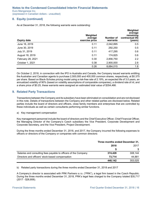<span id="page-15-0"></span>Euro Manganese Inc. (expressed in Canadian dollars - unaudited)

### **8. Equity (continued)**

As at December 31, 2018, the following warrants were outstanding:

| <b>Expiry date</b> | Weighted<br>average<br>exercise price | Number of<br>warrants | Weighted<br>average<br>remaining<br>contractual life<br>(years) |
|--------------------|---------------------------------------|-----------------------|-----------------------------------------------------------------|
| June 16, 2019      | 0.11                                  | 2,042,895             | 0.5                                                             |
| June 30, 2019      | 0.11                                  | 292,250               | 0.5                                                             |
| July 31, 2019      | 0.11                                  | 417,295               | 0.6                                                             |
| August 18, 2019    | 0.11                                  | 174,825               | 0.6                                                             |
| February 28, 2021  | 0.30                                  | 2,856,750             | 2.2                                                             |
| October 1, 2021    | 0.38                                  | 2,900,000             | 2.8                                                             |
|                    | 0.26                                  | 8,684,015             | 1.8                                                             |

On October 2, 2018, in connection with the IPO in Australia and Canada, the Company issued warrants entitling the Australian and Canadian agents to purchase 2,500,000 and 400,000 common shares, respectively, at \$0.375 per share. Based on Black-Scholes pricing model using a risk-free rate of 2.19%, an expected life of 3.0 years, an annualized volatility of 90% (based on volatility assumptions of comparable companies), a dividend rate of nil, and a share price of \$0.25, these warrants were assigned an estimated total value of \$354,466.

# **9. Related Party Transactions**

Transactions between the Company and its subsidiary have been eliminated on consolidation and are not disclosed in this note. Details of transactions between the Company and other related parties are disclosed below. Related parties include the board of directors and officers, close family members and enterprises that are controlled by these individuals as well as certain consultants performing similar functions.

a) Key management compensation

Key management personnel include the board of directors and the Chief Executive Officer, Chief Financial Officer, the Managing Director of the Company's Czech subsidiary the Vice President, Corporate Development and Corporate Secretary, and the Vice President, Project Development.

During the three months ended December 31, 2018, and 2017, the Company incurred the following expenses to officers or directors of the Company or companies with common directors:

|                                                                 | Three months ended December 31, |         |
|-----------------------------------------------------------------|---------------------------------|---------|
|                                                                 | 2018                            | 2017    |
|                                                                 | S                               | S.      |
| Salaries and consulting fees payable to officers of the Company | 374,428                         | 308,144 |
| Directors and officers' stock-based compensation                | 73,714                          | 44.881  |
|                                                                 | 448,142                         | 353,025 |

b) Related party transactions during the three months ended December 31, 2018 and 2017

A Company's director is associated with PRK Partners s.r.o. ("PRK"), a legal firm based in the Czech Republic. During the three months ended December 31, 2018, PRK's legal fees charged to the Company totaled \$35,717 (2017 - \$26,806).